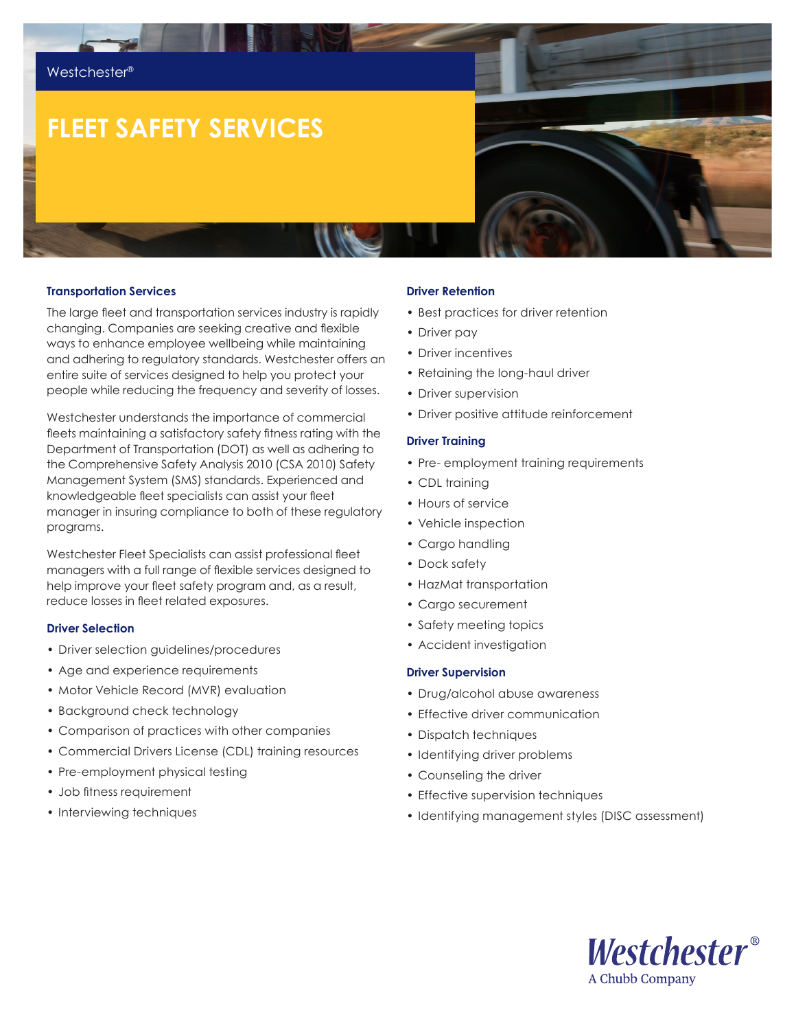# **FLEET SAFETY SERVICES**

#### **Transportation Services**

The large fleet and transportation services industry is rapidly changing. Companies are seeking creative and flexible ways to enhance employee wellbeing while maintaining and adhering to regulatory standards. Westchester offers an entire suite of services designed to help you protect your people while reducing the frequency and severity of losses.

Westchester understands the importance of commercial fleets maintaining a satisfactory safety fitness rating with the Department of Transportation (DOT) as well as adhering to the Comprehensive Safety Analysis 2010 (CSA 2010) Safety Management System (SMS) standards. Experienced and knowledgeable fleet specialists can assist your fleet manager in insuring compliance to both of these regulatory programs.

Westchester Fleet Specialists can assist professional fleet managers with a full range of flexible services designed to help improve your fleet safety program and, as a result, reduce losses in fleet related exposures.

## **Driver Selection**

- Driver selection guidelines/procedures
- Age and experience requirements
- Motor Vehicle Record (MVR) evaluation
- Background check technology
- Comparison of practices with other companies
- Commercial Drivers License (CDL) training resources
- Pre-employment physical testing
- Job fitness requirement
- Interviewing techniques

#### **Driver Retention**

- Best practices for driver retention
- Driver pay
- Driver incentives
- Retaining the long-haul driver
- Driver supervision
- Driver positive attitude reinforcement

#### **Driver Training**

- Pre- employment training requirements
- CDL training
- Hours of service
- Vehicle inspection
- Cargo handling
- Dock safety
- HazMat transportation
- Cargo securement
- Safety meeting topics
- Accident investigation

#### **Driver Supervision**

- Drug/alcohol abuse awareness
- Effective driver communication
- Dispatch techniques
- Identifying driver problems
- Counseling the driver
- Effective supervision techniques
- Identifying management styles (DISC assessment)